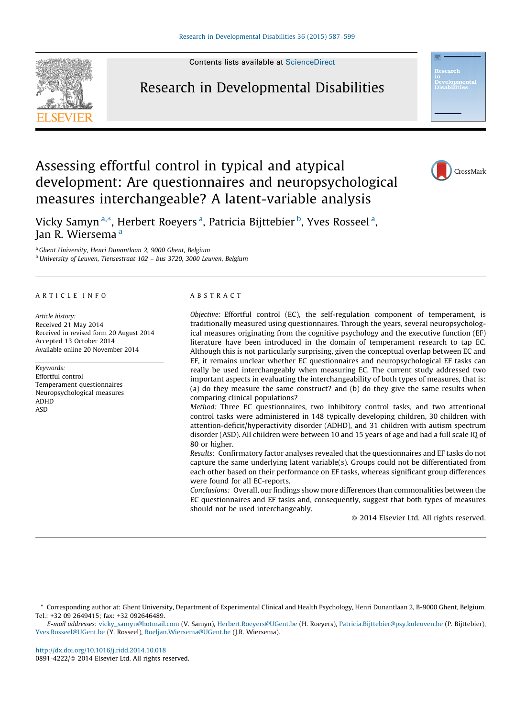Contents lists available at [ScienceDirect](http://www.sciencedirect.com/science/journal/08914222)



## Research in Developmental Disabilities



Vicky Samyn <sup>a,\*</sup>, Herbert Roeyers <sup>a</sup>, Patricia Bijttebier <sup>b</sup>, Yves Rosseel <sup>a</sup>, Ian R. Wiersema<sup>a</sup>

measures interchangeable? A latent-variable analysis

development: Are questionnaires and neuropsychological

Assessing effortful control in typical and atypical

<sup>a</sup> Ghent University, Henri Dunantlaan 2, 9000 Ghent, Belgium  $<sup>b</sup>$  University of Leuven, Tiensestraat 102 – bus 3720, 3000 Leuven, Belgium</sup>

#### A R T I C I E I N E O

Article history: Received 21 May 2014 Received in revised form 20 August 2014 Accepted 13 October 2014 Available online 20 November 2014

Keywords: Effortful control Temperament questionnaires Neuropsychological measures ADHD ASD

#### A B S T R A C T

Objective: Effortful control (EC), the self-regulation component of temperament, is traditionally measured using questionnaires. Through the years, several neuropsychological measures originating from the cognitive psychology and the executive function (EF) literature have been introduced in the domain of temperament research to tap EC. Although this is not particularly surprising, given the conceptual overlap between EC and EF, it remains unclear whether EC questionnaires and neuropsychological EF tasks can really be used interchangeably when measuring EC. The current study addressed two important aspects in evaluating the interchangeability of both types of measures, that is: (a) do they measure the same construct? and (b) do they give the same results when comparing clinical populations?

Method: Three EC questionnaires, two inhibitory control tasks, and two attentional control tasks were administered in 148 typically developing children, 30 children with attention-deficit/hyperactivity disorder (ADHD), and 31 children with autism spectrum disorder (ASD). All children were between 10 and 15 years of age and had a full scale IQ of 80 or higher.

Results: Confirmatory factor analyses revealed that the questionnaires and EF tasks do not capture the same underlying latent variable(s). Groups could not be differentiated from each other based on their performance on EF tasks, whereas significant group differences were found for all EC-reports.

Conclusions: Overall, our findings show more differences than commonalities between the EC questionnaires and EF tasks and, consequently, suggest that both types of measures should not be used interchangeably.

- 2014 Elsevier Ltd. All rights reserved.

\* Corresponding author at: Ghent University, Department of Experimental Clinical and Health Psychology, Henri Dunantlaan 2, B-9000 Ghent, Belgium. Tel.: +32 09 2649415; fax: +32 092646489.

E-mail addresses: [vicky\\_samyn@hotmail.com](mailto:vicky_samyn@hotmail.com) (V. Samyn), [Herbert.Roeyers@UGent.be](mailto:Herbert.Roeyers@UGent.be) (H. Roeyers), [Patricia.Bijttebier@psy.kuleuven.be](mailto:Patricia.Bijttebier@psy.kuleuven.be) (P. Bijttebier), [Yves.Rosseel@UGent.be](mailto:Yves.Rosseel@UGent.be) (Y. Rosseel), [Roeljan.Wiersema@UGent.be](mailto:Roeljan.Wiersema@UGent.be) (J.R. Wiersema).

<http://dx.doi.org/10.1016/j.ridd.2014.10.018> 0891-4222/© 2014 Elsevier Ltd. All rights reserved.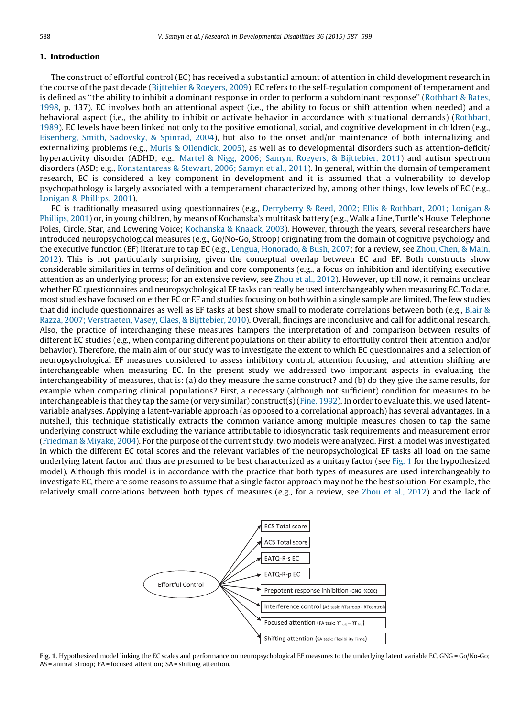### 1. Introduction

The construct of effortful control (EC) has received a substantial amount of attention in child development research in the course of the past decade [\(Bijttebier](#page--1-0) & Roeyers, 2009). EC refers to the self-regulation component of temperament and is defined as ''the ability to inhibit a dominant response in order to perform a subdominant response'' [\(Rothbart](#page--1-0) & Bates, [1998,](#page--1-0) p. 137). EC involves both an attentional aspect (i.e., the ability to focus or shift attention when needed) and a behavioral aspect (i.e., the ability to inhibit or activate behavior in accordance with situational demands) [\(Rothbart,](#page--1-0) [1989\)](#page--1-0). EC levels have been linked not only to the positive emotional, social, and cognitive development in children (e.g., [Eisenberg,](#page--1-0) Smith, Sadovsky, & Spinrad, 2004), but also to the onset and/or maintenance of both internalizing and externalizing problems (e.g., Muris & [Ollendick,](#page--1-0) 2005), as well as to developmental disorders such as attention-deficit/ hyperactivity disorder (ADHD; e.g., Martel & Nigg, 2006; Samyn, Roeyers, & [Bijttebier,](#page--1-0) 2011) and autism spectrum disorders (ASD; e.g., [Konstantareas](#page--1-0) & Stewart, 2006; Samyn et al., 2011). In general, within the domain of temperament research, EC is considered a key component in development and it is assumed that a vulnerability to develop psychopathology is largely associated with a temperament characterized by, among other things, low levels of EC (e.g., Lonigan & [Phillips,](#page--1-0) 2001).

EC is traditionally measured using questionnaires (e.g., [Derryberry](#page--1-0) & Reed, 2002; Ellis & Rothbart, 2001; Lonigan & [Phillips,](#page--1-0) 2001) or, in young children, by means of Kochanska's multitask battery (e.g., Walk a Line, Turtle's House, Telephone Poles, Circle, Star, and Lowering Voice; [Kochanska](#page--1-0) & Knaack, 2003). However, through the years, several researchers have introduced neuropsychological measures (e.g., Go/No-Go, Stroop) originating from the domain of cognitive psychology and the executive function (EF) literature to tap EC (e.g., Lengua, [Honorado,](#page--1-0) & Bush, 2007; for a review, see [Zhou,](#page--1-0) Chen, & Main, [2012](#page--1-0)). This is not particularly surprising, given the conceptual overlap between EC and EF. Both constructs show considerable similarities in terms of definition and core components (e.g., a focus on inhibition and identifying executive attention as an underlying process; for an extensive review, see [Zhou](#page--1-0) et al., 2012). However, up till now, it remains unclear whether EC questionnaires and neuropsychological EF tasks can really be used interchangeably when measuring EC. To date, most studies have focused on either EC or EF and studies focusing on both within a single sample are limited. The few studies that did include questionnaires as well as EF tasks at best show small to moderate correlations between both (e.g., [Blair](#page--1-0) & Razza, 2007; [Verstraeten,](#page--1-0) Vasey, Claes, & Bijttebier, 2010). Overall, findings are inconclusive and call for additional research. Also, the practice of interchanging these measures hampers the interpretation of and comparison between results of different EC studies (e.g., when comparing different populations on their ability to effortfully control their attention and/or behavior). Therefore, the main aim of our study was to investigate the extent to which EC questionnaires and a selection of neuropsychological EF measures considered to assess inhibitory control, attention focusing, and attention shifting are interchangeable when measuring EC. In the present study we addressed two important aspects in evaluating the interchangeability of measures, that is: (a) do they measure the same construct? and (b) do they give the same results, for example when comparing clinical populations? First, a necessary (although not sufficient) condition for measures to be interchangeable is that they tap the same (or very similar) construct(s) (Fine, [1992](#page--1-0)). In order to evaluate this, we used latentvariable analyses. Applying a latent-variable approach (as opposed to a correlational approach) has several advantages. In a nutshell, this technique statistically extracts the common variance among multiple measures chosen to tap the same underlying construct while excluding the variance attributable to idiosyncratic task requirements and measurement error [\(Friedman](#page--1-0) & Miyake, 2004). For the purpose of the current study, two models were analyzed. First, a model was investigated in which the different EC total scores and the relevant variables of the neuropsychological EF tasks all load on the same underlying latent factor and thus are presumed to be best characterized as a unitary factor (see Fig. 1 for the hypothesized model). Although this model is in accordance with the practice that both types of measures are used interchangeably to investigate EC, there are some reasons to assume that a single factor approach may not be the best solution. For example, the relatively small correlations between both types of measures (e.g., for a review, see Zhou et al., [2012\)](#page--1-0) and the lack of



Fig. 1. Hypothesized model linking the EC scales and performance on neuropsychological EF measures to the underlying latent variable EC. GNG = Go/No-Go; AS = animal stroop; FA = focused attention; SA = shifting attention.